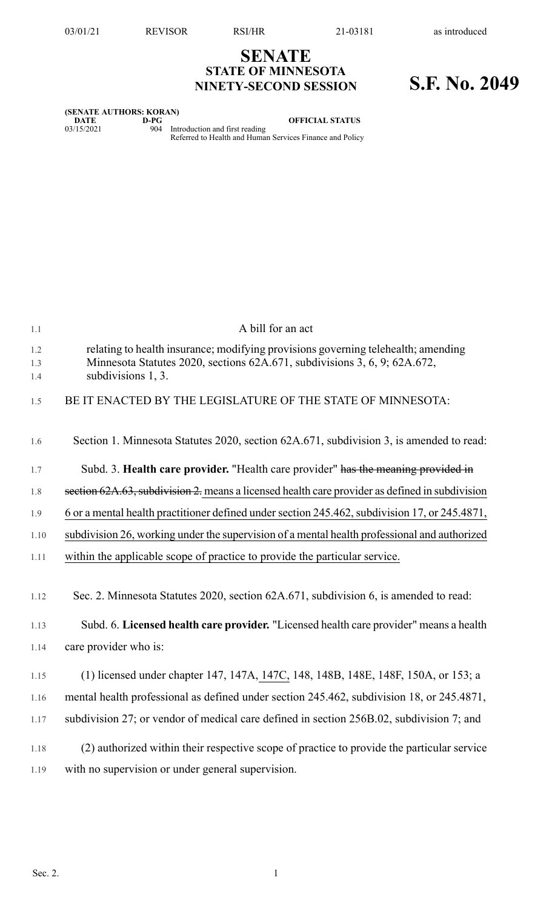## **SENATE STATE OF MINNESOTA NINETY-SECOND SESSION S.F. No. 2049**

| (SENATE AUTHORS: KORAN) |      |                                                                                                |
|-------------------------|------|------------------------------------------------------------------------------------------------|
| DATE                    | D-PG | <b>OFFICIAL STATUS</b>                                                                         |
| 03/15/2021              |      | 904 Introduction and first reading<br>Referred to Health and Human Services Finance and Policy |

| 1.1               | A bill for an act                                                                                                                                                                    |
|-------------------|--------------------------------------------------------------------------------------------------------------------------------------------------------------------------------------|
| 1.2<br>1.3<br>1.4 | relating to health insurance; modifying provisions governing telehealth; amending<br>Minnesota Statutes 2020, sections 62A.671, subdivisions 3, 6, 9; 62A.672,<br>subdivisions 1, 3. |
| 1.5               | BE IT ENACTED BY THE LEGISLATURE OF THE STATE OF MINNESOTA:                                                                                                                          |
| 1.6               | Section 1. Minnesota Statutes 2020, section 62A.671, subdivision 3, is amended to read:                                                                                              |
| 1.7               | Subd. 3. Health care provider. "Health care provider" has the meaning provided in                                                                                                    |
| 1.8               | section 62A.63, subdivision 2. means a licensed health care provider as defined in subdivision                                                                                       |
| 1.9               | 6 or a mental health practitioner defined under section 245.462, subdivision 17, or 245.4871,                                                                                        |
| 1.10              | subdivision 26, working under the supervision of a mental health professional and authorized                                                                                         |
| 1.11              | within the applicable scope of practice to provide the particular service.                                                                                                           |
| 1.12              | Sec. 2. Minnesota Statutes 2020, section 62A.671, subdivision 6, is amended to read:                                                                                                 |
| 1.13              | Subd. 6. Licensed health care provider. "Licensed health care provider" means a health                                                                                               |
| 1.14              | care provider who is:                                                                                                                                                                |
| 1.15              | (1) licensed under chapter 147, 147A, 147C, 148, 148B, 148E, 148F, 150A, or 153; a                                                                                                   |
| 1.16              | mental health professional as defined under section 245.462, subdivision 18, or 245.4871,                                                                                            |
| 1.17              | subdivision 27; or vendor of medical care defined in section 256B.02, subdivision 7; and                                                                                             |
| 1.18              | (2) authorized within their respective scope of practice to provide the particular service                                                                                           |
| 1.19              | with no supervision or under general supervision.                                                                                                                                    |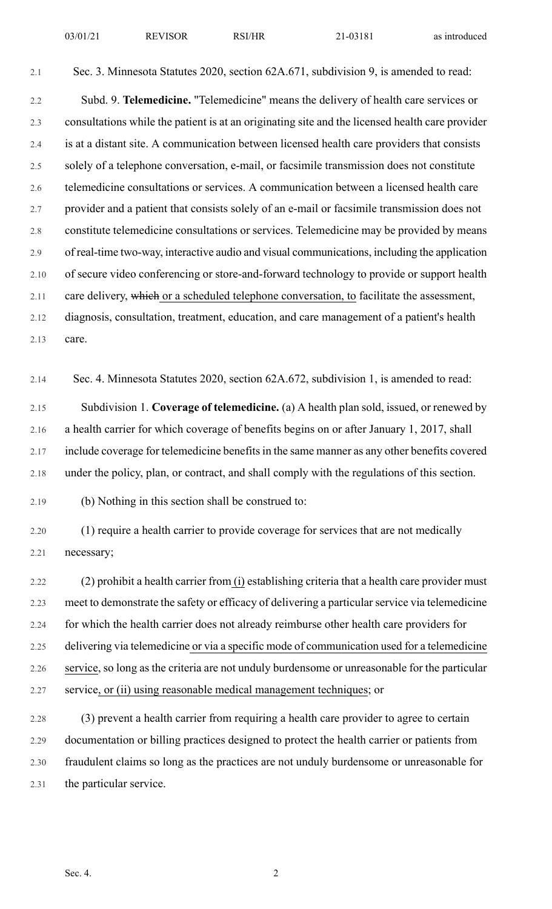2.1 Sec. 3. Minnesota Statutes 2020, section 62A.671, subdivision 9, is amended to read:

2.2 Subd. 9. **Telemedicine.** "Telemedicine" means the delivery of health care services or 2.3 consultations while the patient is at an originating site and the licensed health care provider 2.4 is at a distant site. A communication between licensed health care providers that consists 2.5 solely of a telephone conversation, e-mail, or facsimile transmission does not constitute 2.6 telemedicine consultations or services. A communication between a licensed health care 2.7 provider and a patient that consists solely of an e-mail or facsimile transmission does not 2.8 constitute telemedicine consultations or services. Telemedicine may be provided by means 2.9 of real-time two-way, interactive audio and visual communications, including the application 2.10 of secure video conferencing or store-and-forward technology to provide or support health 2.11 care delivery, which or a scheduled telephone conversation, to facilitate the assessment, 2.12 diagnosis, consultation, treatment, education, and care management of a patient's health 2.13 care.

2.14 Sec. 4. Minnesota Statutes 2020, section 62A.672, subdivision 1, is amended to read:

2.15 Subdivision 1. **Coverage of telemedicine.** (a) A health plan sold, issued, or renewed by 2.16 a health carrier for which coverage of benefits begins on or after January 1, 2017, shall 2.17 include coverage for telemedicine benefits in the same manner as any other benefits covered 2.18 under the policy, plan, or contract, and shall comply with the regulations of this section.

2.19 (b) Nothing in this section shall be construed to:

2.20 (1) require a health carrier to provide coverage for services that are not medically 2.21 necessary;

2.22 (2) prohibit a health carrier from (i) establishing criteria that a health care provider must 2.23 meet to demonstrate the safety or efficacy of delivering a particular service via telemedicine 2.24 for which the health carrier does not already reimburse other health care providers for 2.25 delivering via telemedicine or via a specific mode of communication used for a telemedicine 2.26 service, so long as the criteria are not unduly burdensome or unreasonable for the particular 2.27 service, or (ii) using reasonable medical management techniques; or

2.28 (3) prevent a health carrier from requiring a health care provider to agree to certain 2.29 documentation or billing practices designed to protect the health carrier or patients from 2.30 fraudulent claims so long as the practices are not unduly burdensome or unreasonable for 2.31 the particular service.